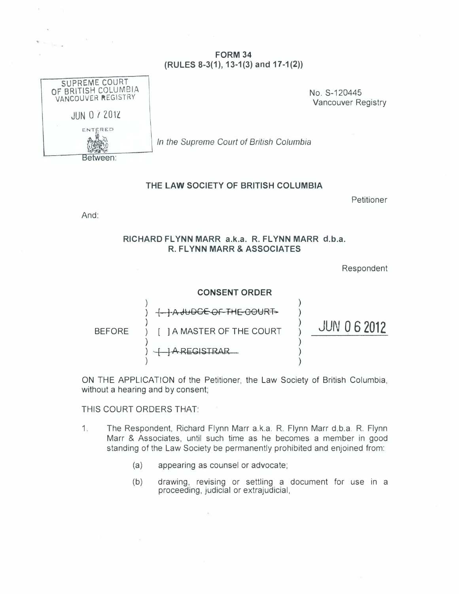### FORM 34  $(RULES 8-3(1), 13-1(3)$  and  $17-1(2))$

| SUPREME COURT<br>OF BRITISH COLUMBIA<br>VANCOUVER REGISTRY | No. S-120445<br><b>Vancouver Re</b>      |
|------------------------------------------------------------|------------------------------------------|
| <b>JUN 0 7 2012</b>                                        |                                          |
| ENTERED                                                    |                                          |
|                                                            | In the Supreme Court of British Columbia |
| twaan                                                      |                                          |

..

Vancouver Registry

Between:

#### THE LAW SOCIETY OF BRITISH COLUMBIA

Petitioner

And:

#### RICHARD FLYNN MARR a.k.a. R. FLYNN MARR d.b.a. R. FLYNN MARR & ASSOCIATES

Respondent



ON THE APPLICATION of the Petitioner, the Law Society of British Columbia, without a hearing and by consent;

THIS COURT ORDERS THAT:

- 1. The Respondent, Richard Flynn Marr a.k.a. R. Flynn Marr d.b.a. R. Flynn Marr & Associates, until such time as he becomes a member in good standing of the Law Society be permanently prohibited and enjoined from:
	- (a) appearing as counsel or advocate;
	- (b) drawing, revising or settling a document for use in a proceeding, judicial or extrajudicial,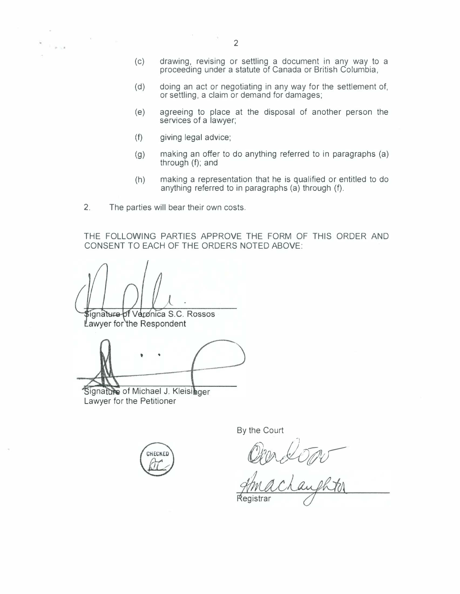$\sim$   $\sim$ 

- (c) drawing, revising or settling a document in any way to a proceeding under a statute of Canada or British Columbia,
- (d) doing an act or negotiating in any way for the settlement of, or settling, a claim or demand for damages;
- (e) agreeing to place at the disposal of another person the services of a lawyer;
- (f) giving legal advice;
- (g) making an offer to do anything referred to in paragraphs (a) through (f); and
- (h) making a representation that he is qualified or entitled to do anything referred to in paragraphs (a) through (f).
- 2. The parties will bear their own costs.

Listas.

THE FOLLOWING PARTIES APPROVE THE FORM OF THIS ORDER AND CONSENT TO EACH OF THE ORDERS NOTED ABOVE:

signature of Veronica S.C. Rossos

Lawyer for the Respondent

t ..

Signature of Michael J. Kleisinger Lawyer for the Petitioner



By the Court

Mex Upp